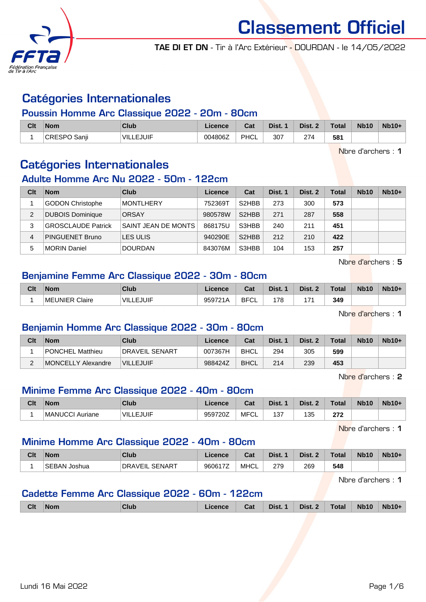

TAE DI ET DN - Tir à l'Arc Extérieur - DOURDAN - le 14/05/2022

# Catégories Internationales

#### Poussin Homme Arc Classique 2022 - 20m - 80cm

| Clt | <b>Nom</b>             | Club      | Licence | ◠੍៰<br>udl  | Dist. | Dist. | <b>Total</b> | <b>Nb10</b> | <b>Nb10+</b> |
|-----|------------------------|-----------|---------|-------------|-------|-------|--------------|-------------|--------------|
|     | Sanii<br><b>CRESPO</b> | VILLEJUIF | 004806Z | <b>PHCL</b> | 307   | 274   | 581          |             |              |

Nbre d'archers : 1

# Catégories Internationales

#### Adulte Homme Arc Nu 2022 - 50m - 122cm

| Clt | <b>Nom</b>                | Club                | Licence | Cat                            | Dist. 1 | Dist. 2 | Total | <b>Nb10</b> | $Nb10+$ |
|-----|---------------------------|---------------------|---------|--------------------------------|---------|---------|-------|-------------|---------|
|     | <b>GODON Christophe</b>   | <b>MONTLHERY</b>    | 752369T | S <sub>2</sub> HBB             | 273     | 300     | 573   |             |         |
| 2   | <b>DUBOIS Dominique</b>   | <b>ORSAY</b>        | 980578W | S <sub>2</sub> HBB             | 271     | 287     | 558   |             |         |
| 3   | <b>GROSCLAUDE Patrick</b> | SAINT JEAN DE MONTS | 868175U | S3HBB                          | 240     | 211     | 451   |             |         |
| 4   | PINGUENET Bruno           | LES ULIS            | 940290E | S <sub>2</sub> H <sub>BB</sub> | 212     | 210     | 422   |             |         |
| 5   | <b>MORIN Daniel</b>       | <b>DOURDAN</b>      | 843076M | S3HBB                          | 104     | 153     | 257   |             |         |

Nbre d'archers : 5

# Benjamine Femme Arc Classique 2022 - 30m - 80cm

| Clt | <b>Nom</b>     | Club             | ∟icence | <b>Cat</b><br>val | Dist. | Dist.<br>$\sim$ | Total | <b>Nb10</b> | <b>Nb10+</b> |
|-----|----------------|------------------|---------|-------------------|-------|-----------------|-------|-------------|--------------|
|     | MEUNIER Claire | <b>VILLEJUIF</b> | 959721A | <b>BFCL</b>       | 178   | <b>17.</b>      | 349   |             |              |

Nbre d'archers : 1

# Benjamin Homme Arc Classique 2022 - 30m - 80cm

| Clt | <b>Nom</b>         | Club                  | Licence | Cat         | Dist. | Dist. 2 | Total | <b>Nb10</b> | $Nb10+$ |
|-----|--------------------|-----------------------|---------|-------------|-------|---------|-------|-------------|---------|
|     | PONCHEL Matthieu   | <b>DRAVEIL SENART</b> | 007367H | <b>BHCL</b> | 294   | 305     | 599   |             |         |
| ⌒   | MONCELLY Alexandre | <b>VILLEJUIF</b>      | 988424Z | <b>BHCL</b> | 214   | 239     | 453   |             |         |

Nbre d'archers : 2

# Minime Femme Arc Classique 2022 - 40m - 80cm

| Clt | <b>Nom</b>      | Club             | ionnon<br>Licence | ◠ឹ<br>⊍م    | Dist.         | Dist<br>$\overline{\phantom{a}}$ | Total       | <b>Nb10</b> | <b>Nb10+</b> |
|-----|-----------------|------------------|-------------------|-------------|---------------|----------------------------------|-------------|-------------|--------------|
|     | MANUCCI Auriane | <b>VILLEJUIF</b> | 959720Z           | MFC'<br>'∪L | $40 -$<br>ا ب | 135                              | 272<br>21 L |             |              |

Nbre d'archers : 1

#### Minime Homme Arc Classique 2022 - 40m - 80cm

| Clt | <b>Nom</b>      | Club                       | Licence | <b>Dol</b><br>⊍dl | Dist. | Dist.     | Total | <b>Nb10</b> | $Nb10+$ |
|-----|-----------------|----------------------------|---------|-------------------|-------|-----------|-------|-------------|---------|
|     | SEBAN<br>Joshua | . SENAR⊤<br><b>DRAVEIL</b> | 960617Z | <b>MHCL</b>       | 279   | 269<br>__ | 548   |             |         |

Nbre d'archers : 1

# Cadette Femme Arc Classique 2022 - 60m - 122cm

| <b>Clt</b> | ⊺Nom | Club | Licence | Cat | Dist. 1 | Dist. 2 $\vert$ | Total | <b>Nb10</b> | $Nb10+$ |
|------------|------|------|---------|-----|---------|-----------------|-------|-------------|---------|
|            |      |      |         |     |         |                 |       |             |         |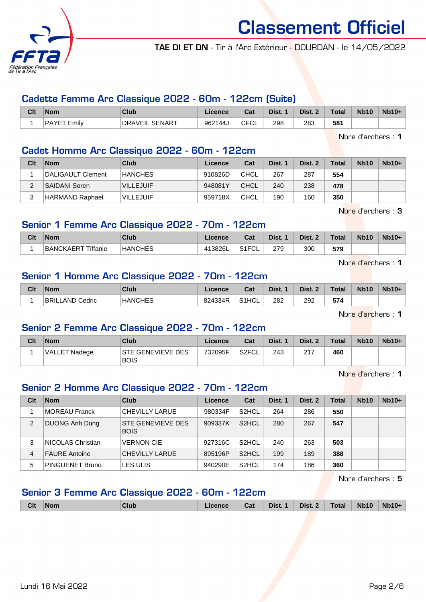

TAE DI ET DN - Tir à l'Arc Extérieur - DOURDAN - le 14/05/2022

# Cadette Femme Arc Classique 2022 - 60m - 122cm (Suite)

| Clt | <b>Nom</b>         | <b>Club</b>    | Licence | Cat  | Dist. 1 | Dist. 2 | Total | <b>Nb10</b> | $Nb10+$ |
|-----|--------------------|----------------|---------|------|---------|---------|-------|-------------|---------|
|     | <b>PAYET Emilv</b> | DRAVEIL SENART | 962144J | TFCL | 298     | 283     | 581   |             |         |

Nbre d'archers : 1

# Cadet Homme Arc Classique 2022 - 60m - 122cm

| Clt | <b>Nom</b>             | Club             | Licence | Cat         | Dist. 1 | Dist. 2 | Total | <b>Nb10</b> | $Nb10+$ |
|-----|------------------------|------------------|---------|-------------|---------|---------|-------|-------------|---------|
|     | DALIGAULT Clement      | <b>HANCHES</b>   | 910826D | CHCL        | 267     | 287     | 554   |             |         |
|     | <b>SAIDANI Soren</b>   | <b>VILLEJUIF</b> | 948081Y | CHCL        | 240     | 238     | 478   |             |         |
| ົ   | <b>HARMAND Raphael</b> | <b>VILLEJUIF</b> | 959718X | <b>CHCL</b> | 190     | 160     | 350   |             |         |

Nbre d'archers : 3

# Senior 1 Femme Arc Classique 2022 - 70m - 122cm

| Clt | <b>Nom</b>                                | Club           | icence  | <b>Take</b><br>⊍⊌ | Dist.         | Dist. | Total | <b>Nb10</b> | <b>Nb10+</b> |
|-----|-------------------------------------------|----------------|---------|-------------------|---------------|-------|-------|-------------|--------------|
|     | <sup>-</sup> Tiffanie<br><b>BANCKAERT</b> | <b>HANCHES</b> | 413826L | C1ECI<br>−∪∟      | 279<br>$\sim$ | 300   | 579   |             |              |

Nbre d'archers : 1

# Senior 1 Homme Arc Classique 2022 - 70m - 122cm

| Clt | <b>Nom</b>      | Club           | Licence | $R_{\rm eff}$<br>⊍aι | Dist. | Dist.<br>$\sim$ | Total | <b>Nb10</b> | <b>Nb10+</b> |
|-----|-----------------|----------------|---------|----------------------|-------|-----------------|-------|-------------|--------------|
|     | BRILLAND Cedric | <b>HANCHES</b> | 824334R | S1HCL                | 282   | 292             | 574   |             |              |

Nbre d'archers : 1

# Senior 2 Femme Arc Classique 2022 - 70m - 122cm

| Clt | <b>Nom</b>    | Club                                    | Licence | Cat   | Dist. 1 | Dist. 2 | <b>Total</b> | <b>Nb10</b> | Nb10+ |
|-----|---------------|-----------------------------------------|---------|-------|---------|---------|--------------|-------------|-------|
|     | VALLET Nadege | <b>STE GENEVIEVE DES</b><br><b>BOIS</b> | 732095F | S2FCL | 243     | 217     | 460          |             |       |

Nbre d'archers : 1

# Senior 2 Homme Arc Classique 2022 - 70m - 122cm

| Clt            | <b>Nom</b>           | Club                                    | Licence | Cat                | Dist. 1 | Dist. 2 | Total | <b>Nb10</b> | $Nb10+$ |
|----------------|----------------------|-----------------------------------------|---------|--------------------|---------|---------|-------|-------------|---------|
|                | MOREAU Franck        | CHEVILLY LARUE                          | 980334F | S <sub>2</sub> HCL | 264     | 286     | 550   |             |         |
| $\overline{2}$ | DUONG Anh Dung       | <b>STE GENEVIEVE DES</b><br><b>BOIS</b> | 909337K | S <sub>2</sub> HCL | 280     | 267     | 547   |             |         |
| 3              | NICOLAS Christian    | <b>VERNON CIE</b>                       | 927316C | S <sub>2</sub> HCL | 240     | 263     | 503   |             |         |
| 4              | <b>FAURE Antoine</b> | CHEVILLY LARUE                          | 895196P | S <sub>2</sub> HCL | 199     | 189     | 388   |             |         |
| 5              | PINGUENET Bruno      | LES ULIS                                | 940290E | S <sub>2</sub> HCL | 174     | 186     | 360   |             |         |

Nbre d'archers : 5

# Senior 3 Femme Arc Classique 2022 - 60m - 122cm

|  | <b>Clt</b> | $\mathsf{Nom}$ | Club | Licence | Cat |  | Dist. 1 Dist. 2 Total |  | $\vert$ Nb10 | Nb10+ |
|--|------------|----------------|------|---------|-----|--|-----------------------|--|--------------|-------|
|--|------------|----------------|------|---------|-----|--|-----------------------|--|--------------|-------|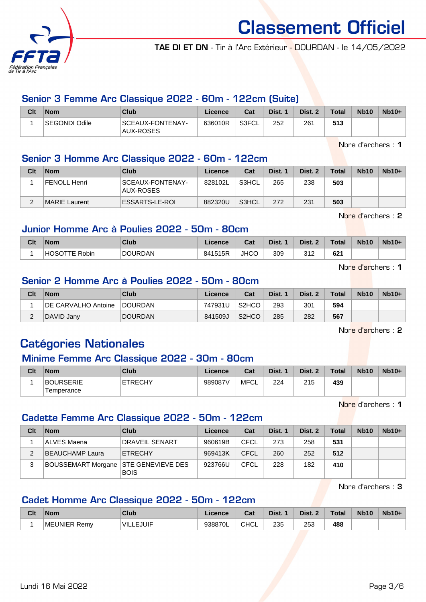

TAE DI ET DN - Tir à l'Arc Extérieur - DOURDAN - le 14/05/2022

# Senior 3 Femme Arc Classique 2022 - 60m - 122cm (Suite)

| Clt | <b>Nom</b>           | Club                          | Licence | Cat   | Dist. 1 | Dist. 2 | <b>Total</b> | <b>Nb10</b> | $Nb10+$ |
|-----|----------------------|-------------------------------|---------|-------|---------|---------|--------------|-------------|---------|
|     | <b>SEGONDI Odile</b> | SCEAUX-FONTENAY-<br>AUX-ROSES | 636010R | S3FCL | 252     | 261     | 513          |             |         |

Nbre d'archers : 1

# Senior 3 Homme Arc Classique 2022 - 60m - 122cm

| Clt | <b>Nom</b>    | Club                          | Licence | Cat   | Dist. 1 | Dist. 2 | <b>Total</b> | <b>Nb10</b> | $Nb10+$ |
|-----|---------------|-------------------------------|---------|-------|---------|---------|--------------|-------------|---------|
|     | FENOLL Henri  | SCEAUX-FONTENAY-<br>AUX-ROSES | 828102L | S3HCL | 265     | 238     | 503          |             |         |
|     | MARIE Laurent | ESSARTS-LE-ROI                | 882320U | S3HCL | 272     | 231     | 503          |             |         |

Nbre d'archers : 2

### Junior Homme Arc à Poulies 2022 - 50m - 80cm

| Clt | <b>Nom</b>               | <b>Club</b>    | Licence | <b>Cat</b><br>val | Dist. | Dist. 2      | <b>Total</b> | <b>Nb10</b> | $Nb10+$ |
|-----|--------------------------|----------------|---------|-------------------|-------|--------------|--------------|-------------|---------|
|     | <b>HOSO</b><br>TTE Robin | <b>DOURDAN</b> | 841515R | <b>JHCC</b>       | 309   | つイつ<br>ے ا ب | 621          |             |         |

Nbre d'archers : 1

# Senior 2 Homme Arc à Poulies 2022 - 50m - 80cm

| Clt | <b>Nom</b>                 | Club           | Licence | Cat                            | Dist. 1 | Dist. 2 | <b>Total</b> | <b>Nb10</b> | $Nb10+$ |
|-----|----------------------------|----------------|---------|--------------------------------|---------|---------|--------------|-------------|---------|
|     | <b>DE CARVALHO Antoine</b> | <b>DOURDAN</b> | 747931U | S <sub>2</sub> H <sub>CO</sub> | 293     | 301     | 594          |             |         |
|     | DAVID Janv                 | <b>DOURDAN</b> | 841509J | S <sub>2</sub> HCO             | 285     | 282     | 567          |             |         |

Nbre d'archers : 2

# Catégories Nationales

#### Minime Femme Arc Classique 2022 - 30m - 80cm

| Clt | <b>Nom</b>              | Club           | Licence | Cat  | Dist. | Dist. | <b>Total</b> | <b>Nb10</b> | $Nb10+$ |
|-----|-------------------------|----------------|---------|------|-------|-------|--------------|-------------|---------|
|     | BOURSERIE<br>Temperance | <b>ETRECHY</b> | 989087V | MFCL | 224   | 215   | 439          |             |         |

Nbre d'archers : 1

#### Cadette Femme Arc Classique 2022 - 50m - 122cm

| Clt | <b>Nom</b>                             | Club           | Licence | Cat         | Dist. 1 | Dist. 2 | <b>Total</b> | <b>Nb10</b> | $Nb10+$ |
|-----|----------------------------------------|----------------|---------|-------------|---------|---------|--------------|-------------|---------|
|     | ALVES Maena                            | DRAVEIL SENART | 960619B | CFCL        | 273     | 258     | 531          |             |         |
|     | BEAUCHAMP Laura                        | <b>ETRECHY</b> | 969413K | CFCL        | 260     | 252     | 512          |             |         |
| 3   | BOUSSEMART Morgane   STE GENEVIEVE DES | <b>BOIS</b>    | 923766U | <b>CFCL</b> | 228     | 182     | 410          |             |         |

Nbre d'archers : 3

#### Cadet Homme Arc Classique 2022 - 50m - 122cm

| Clt | <b>Nom</b>   | Club             | ∟icence | <b>Tak</b><br>uai | Dist. | Dist. | <b>Total</b> | <b>Nb10</b> | $Nb10+$ |
|-----|--------------|------------------|---------|-------------------|-------|-------|--------------|-------------|---------|
|     | MEUNIER Remv | <b>VILLEJUIF</b> | 938870L | CHCL              | 235   | 253   | 488          |             |         |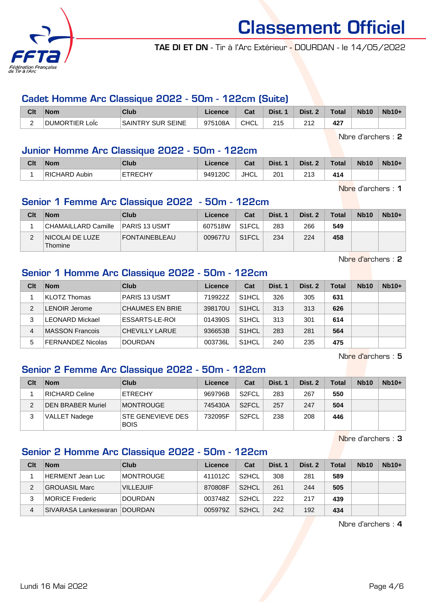

TAE DI ET DN - Tir à l'Arc Extérieur - DOURDAN - le 14/05/2022

#### Cadet Homme Arc Classique 2022 - 50m - 122cm (Suite)

| Clt | Nom                          | Club                     | Licence | <b>Cost</b><br>val | Dist.      | Dist.          | <b>Total</b> | <b>Nb10</b> | $Nb10+$ |
|-----|------------------------------|--------------------------|---------|--------------------|------------|----------------|--------------|-------------|---------|
|     | <br><b>DUMORTIER</b><br>∟olc | <b>SAINTRY SUR SEINE</b> | 975108A | <b>CHCL</b>        | つイベ<br>ے ا | ດ 4 ຕ<br>2 I Z | 427          |             |         |

Nbre d'archers : 2

#### Junior Homme Arc Classique 2022 - 50m - 122cm

| Clt | <b>Nom</b>              | Club    | Licence | <b>Doll</b><br>ual | Dist. | Dist.       | Total | <b>Nb10</b> | $Nb10+$ |
|-----|-------------------------|---------|---------|--------------------|-------|-------------|-------|-------------|---------|
|     | Aubin<br><b>RICHARD</b> | ETRECHY | 949120C | <b>JHCL</b>        | 201   | 242<br>ں اے | 414   |             |         |

Nbre d'archers : 1

### Senior 1 Femme Arc Classique 2022 - 50m - 122cm

| Clt | <b>Nom</b>                         | Club                 | Licence | Cat                | Dist. 1 | Dist. 2 | <b>Total</b> | <b>Nb10</b> | $Nb10+$ |
|-----|------------------------------------|----------------------|---------|--------------------|---------|---------|--------------|-------------|---------|
|     | CHAMAILLARD Camille_               | PARIS 13 USMT        | 607518W | S <sub>1</sub> FCL | 283     | 266     | 549          |             |         |
|     | <b>INICOLAI DE LUZE</b><br>Thomine | <b>FONTAINEBLEAU</b> | 009677U | S <sub>1</sub> FCL | 234     | 224     | 458          |             |         |

Nbre d'archers : 2

#### Senior 1 Homme Arc Classique 2022 - 50m - 122cm

| Clt           | <b>Nom</b>               | Club                   | Licence | Cat                | Dist. 1 | Dist. 2 | <b>Total</b> | <b>Nb10</b> | $Nb10+$ |
|---------------|--------------------------|------------------------|---------|--------------------|---------|---------|--------------|-------------|---------|
|               | KLOTZ Thomas             | PARIS 13 USMT          | 719922Z | S <sub>1</sub> HCL | 326     | 305     | 631          |             |         |
| $\mathcal{P}$ | <b>LENOIR Jerome</b>     | <b>CHAUMES EN BRIE</b> | 398170U | S <sub>1</sub> HCL | 313     | 313     | 626          |             |         |
|               | <b>LEONARD Mickael</b>   | ESSARTS-LE-ROI         | 014390S | S <sub>1</sub> HCL | 313     | 301     | 614          |             |         |
| 4             | MASSON Francois          | CHEVILLY LARUE         | 936653B | S <sub>1</sub> HCL | 283     | 281     | 564          |             |         |
| 5             | <b>FERNANDEZ Nicolas</b> | <b>DOURDAN</b>         | 003736L | S <sub>1</sub> HCL | 240     | 235     | 475          |             |         |

Nbre d'archers : 5

# Senior 2 Femme Arc Classique 2022 - 50m - 122cm

| Clt | <b>Nom</b>               | Club                             | Licence | Cat                | Dist. 1 | Dist. 2 | <b>Total</b> | <b>Nb10</b> | $Nb10+$ |
|-----|--------------------------|----------------------------------|---------|--------------------|---------|---------|--------------|-------------|---------|
|     | <b>RICHARD Celine</b>    | <b>ETRECHY</b>                   | 969796B | S <sub>2</sub> FCL | 283     | 267     | 550          |             |         |
|     | <b>DEN BRABER Muriel</b> | <b>IMONTROUGE</b>                | 745430A | S <sub>2</sub> FCL | 257     | 247     | 504          |             |         |
|     | <b>VALLET Nadege</b>     | STE GENEVIEVE DES<br><b>BOIS</b> | 732095F | S <sub>2</sub> FCL | 238     | 208     | 446          |             |         |

Nbre d'archers : 3

# Senior 2 Homme Arc Classique 2022 - 50m - 122cm

| Clt | <b>Nom</b>                    | Club             | Licence | Cat                | Dist. 1 | Dist. 2 | Total | <b>Nb10</b> | $Nb10+$ |
|-----|-------------------------------|------------------|---------|--------------------|---------|---------|-------|-------------|---------|
|     | HERMENT Jean Luc              | MONTROUGE        | 411012C | S <sub>2</sub> HCL | 308     | 281     | 589   |             |         |
| 2   | GROUASIL Marc                 | <b>VILLEJUIF</b> | 870808F | S <sub>2</sub> HCL | 261     | 244     | 505   |             |         |
| 3   | MORICE Frederic               | DOURDAN          | 003748Z | S <sub>2</sub> HCL | 222     | 217     | 439   |             |         |
| 4   | SIVARASA Lankeswaran IDOURDAN |                  | 005979Z | S <sub>2</sub> HCL | 242     | 192     | 434   |             |         |

Nbre d'archers : 4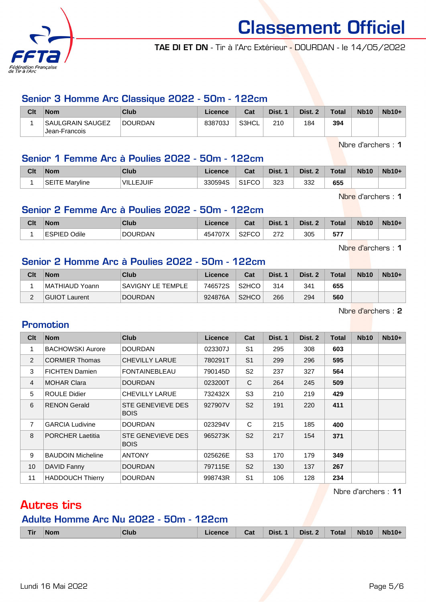

TAE DI ET DN - Tir à l'Arc Extérieur - DOURDAN - le 14/05/2022

#### Senior 3 Homme Arc Classique 2022 - 50m - 122cm

| Clt | <b>Nom</b>                        | <b>Club</b> | Licence | Cat                | Dist. 1 | Dist. 2 | <b>Total</b> | <b>Nb10</b> | $Nb10+$ |
|-----|-----------------------------------|-------------|---------|--------------------|---------|---------|--------------|-------------|---------|
|     | SAULGRAIN SAUGEZ<br>Jean-Francois | DOURDAN     | 838703J | S3HCL <sup>®</sup> | 210     | 184     | 394          |             |         |

Nbre d'archers : 1

# Senior 1 Femme Arc à Poulies 2022 - 50m - 122cm

| Clt | <b>Nom</b>               | Club           | .icence | Cat                  | Dist. | Dist. | <b>Total</b> | <b>Nb10</b> | $Nb10+$ |
|-----|--------------------------|----------------|---------|----------------------|-------|-------|--------------|-------------|---------|
|     | <b>SEITE</b><br>Marvline | VIL.<br>LEJUIF | 330594S | S1ECA<br>ا ا ت<br>◡◡ | 323   | 332   | 655          |             |         |

Nbre d'archers : 1

#### Senior 2 Femme Arc à Poulies 2022 - 50m - 122cm

| Clt | <b>Nom</b>       | Club           | Licence | <b>Column</b><br>⊍dl | Dist.       | Dist. 2 | Total | <b>Nb10</b> | <b>Nb10+</b> |
|-----|------------------|----------------|---------|----------------------|-------------|---------|-------|-------------|--------------|
|     | 'ESPIED<br>Odile | <b>DOURDAN</b> | 454707X | S <sub>2</sub> FCO   | מדמ<br>ے اے | 305     | 577   |             |              |

Nbre d'archers : 1

# Senior 2 Homme Arc à Poulies 2022 - 50m - 122cm

| Clt    | <b>Nom</b>     | <b>Club</b>              | Licence | Cat                | Dist. 1 | Dist. 2 | <b>Total</b> | <b>Nb10</b> | $Nb10+$ |
|--------|----------------|--------------------------|---------|--------------------|---------|---------|--------------|-------------|---------|
|        | MATHIAUD Yoann | <b>SAVIGNY LE TEMPLE</b> | 746572S | S <sub>2</sub> HCO | 314     | 341     | 655          |             |         |
| $\sim$ | GUIOT Laurent  | <b>DOURDAN</b>           | 924876A | S <sub>2</sub> HCO | 266     | 294     | 560          |             |         |

Nbre d'archers : 2

#### Promotion

| Clt            | <b>Nom</b>               | <b>Club</b>                      | Licence | Cat            | Dist. 1 | Dist. 2 | Total | <b>Nb10</b> | $Nb10+$ |
|----------------|--------------------------|----------------------------------|---------|----------------|---------|---------|-------|-------------|---------|
| 1              | <b>BACHOWSKI Aurore</b>  | <b>DOURDAN</b>                   | 023307J | S <sub>1</sub> | 295     | 308     | 603   |             |         |
| 2              | <b>CORMIER Thomas</b>    | <b>CHEVILLY LARUE</b>            | 780291T | S <sub>1</sub> | 299     | 296     | 595   |             |         |
| 3              | <b>FICHTEN Damien</b>    | <b>FONTAINEBLEAU</b>             | 790145D | S <sub>2</sub> | 237     | 327     | 564   |             |         |
| $\overline{4}$ | <b>MOHAR Clara</b>       | <b>DOURDAN</b>                   | 023200T | C              | 264     | 245     | 509   |             |         |
| 5              | <b>ROULE Didier</b>      | <b>CHEVILLY LARUE</b>            | 732432X | S <sub>3</sub> | 210     | 219     | 429   |             |         |
| 6              | <b>RENON Gerald</b>      | STE GENEVIEVE DES<br><b>BOIS</b> | 927907V | S <sub>2</sub> | 191     | 220     | 411   |             |         |
| 7              | <b>GARCIA Ludivine</b>   | <b>DOURDAN</b>                   | 023294V | C              | 215     | 185     | 400   |             |         |
| 8              | <b>PORCHER Laetitia</b>  | STE GENEVIEVE DES<br><b>BOIS</b> | 965273K | S <sub>2</sub> | 217     | 154     | 371   |             |         |
| 9              | <b>BAUDOIN Micheline</b> | <b>ANTONY</b>                    | 025626E | S <sub>3</sub> | 170     | 179     | 349   |             |         |
| 10             | DAVID Fanny              | <b>DOURDAN</b>                   | 797115E | S <sub>2</sub> | 130     | 137     | 267   |             |         |
| 11             | <b>HADDOUCH Thierry</b>  | <b>DOURDAN</b>                   | 998743R | S <sub>1</sub> | 106     | 128     | 234   |             |         |

Nbre d'archers : 11

# Autres tirs

# Adulte Homme Arc Nu 2022 - 50m - 122cm

|  | Tir | <b>Nom</b> | Club | Licence. | Cat | Dist. 1 | Dist. 2 | Total | <b>Nb10</b> | <b>Nb10+</b> |
|--|-----|------------|------|----------|-----|---------|---------|-------|-------------|--------------|
|--|-----|------------|------|----------|-----|---------|---------|-------|-------------|--------------|